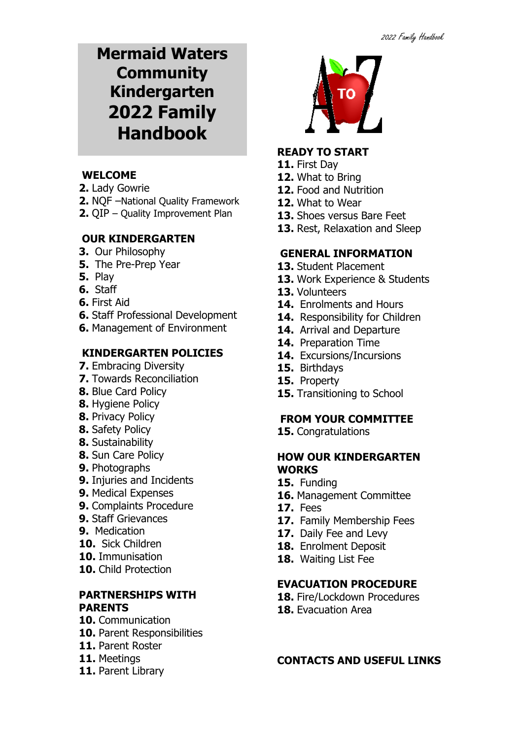# **Mermaid Waters Community Kindergarten 2022 Family Handbook**

## **WELCOME**

- **2.** Lady Gowrie
- **2.** NQF –National Quality Framework
- **2.** QIP Quality Improvement Plan

## **OUR KINDERGARTEN**

- **3.** Our Philosophy
- **5.** The Pre-Prep Year
- **5.** Play
- **6.** Staff
- **6.** First Aid
- **6.** Staff Professional Development
- **6.** Management of Environment

## **KINDERGARTEN POLICIES**

- **7.** Embracing Diversity
- **7.** Towards Reconciliation
- **8.** Blue Card Policy
- **8.** Hygiene Policy
- **8.** Privacy Policy
- **8.** Safety Policy
- **8.** Sustainability
- **8.** Sun Care Policy
- **9.** Photographs
- **9.** Injuries and Incidents
- **9.** Medical Expenses
- **9.** Complaints Procedure
- **9.** Staff Grievances
- **9.** Medication
- **10.** Sick Children
- **10.** Immunisation
- **10.** Child Protection

#### **PARTNERSHIPS WITH PARENTS**

- **10.** Communication
- **10.** Parent Responsibilities
- **11.** Parent Roster
- **11.** Meetings
- **11.** Parent Library



## **READY TO START**

- **11.** First Day
- **12.** What to Bring
- **12.** Food and Nutrition
- **12.** What to Wear
- **13.** Shoes versus Bare Feet
- **13.** Rest, Relaxation and Sleep

## **GENERAL INFORMATION**

- **13.** Student Placement
- **13.** Work Experience & Students
- **13.** Volunteers
- **14.** Enrolments and Hours
- 14. Responsibility for Children
- **14.** Arrival and Departure
- **14.** Preparation Time
- **14.** Excursions/Incursions
- **15.** Birthdays
- **15.** Property
- **15.** Transitioning to School

## **FROM YOUR COMMITTEE**

**15.** Congratulations

#### **HOW OUR KINDERGARTEN WORKS**

- **15.** Funding
- **16.** Management Committee
- **17.** Fees
- **17.** Family Membership Fees
- **17.** Daily Fee and Levy
- **18.** Enrolment Deposit
- **18.** Waiting List Fee

## **EVACUATION PROCEDURE**

- 18. Fire/Lockdown Procedures
- **18.** Evacuation Area

## **CONTACTS AND USEFUL LINKS**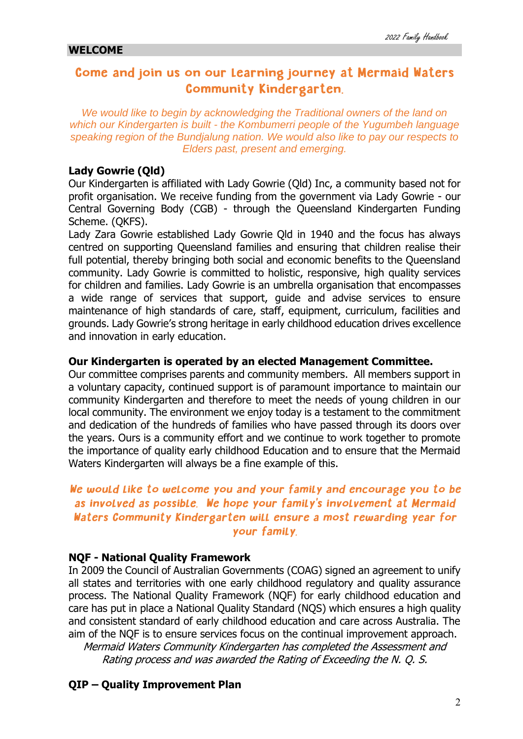## Come and join us on our Learning journey at Mermaid Waters **Community Kindergarten.**

*We would like to begin by acknowledging the Traditional owners of the land on which our Kindergarten is built - the Kombumerri people of the Yugumbeh language speaking region of the Bundjalung nation. We would also like to pay our respects to Elders past, present and emerging.*

#### **Lady Gowrie (Qld)**

Our Kindergarten is affiliated with Lady Gowrie (Qld) Inc, a community based not for profit organisation. We receive funding from the government via Lady Gowrie - our Central Governing Body (CGB) - through the Queensland Kindergarten Funding Scheme. (QKFS).

Lady Zara Gowrie established Lady Gowrie Qld in 1940 and the focus has always centred on supporting Queensland families and ensuring that children realise their full potential, thereby bringing both social and economic benefits to the Queensland community. Lady Gowrie is committed to holistic, responsive, high quality services for children and families. Lady Gowrie is an umbrella organisation that encompasses a wide range of services that support, guide and advise services to ensure maintenance of high standards of care, staff, equipment, curriculum, facilities and grounds. Lady Gowrie's strong heritage in early childhood education drives excellence and innovation in early education.

#### **Our Kindergarten is operated by an elected Management Committee.**

Our committee comprises parents and community members. All members support in a voluntary capacity, continued support is of paramount importance to maintain our community Kindergarten and therefore to meet the needs of young children in our local community. The environment we enjoy today is a testament to the commitment and dedication of the hundreds of families who have passed through its doors over the years. Ours is a community effort and we continue to work together to promote the importance of quality early childhood Education and to ensure that the Mermaid Waters Kindergarten will always be a fine example of this.

## We would like to welcome you and your family and encourage you to be as involved as possible. We hope your family's involvement at Mermaid Waters Community Kindergarten will ensure a most rewarding year for your family.

#### **NQF - National Quality Framework**

In 2009 the Council of Australian Governments (COAG) signed an agreement to unify all states and territories with one early childhood regulatory and quality assurance process. The National Quality Framework (NQF) for early childhood education and care has put in place a National Quality Standard (NQS) which ensures a high quality and consistent standard of early childhood education and care across Australia. The aim of the NQF is to ensure services focus on the continual improvement approach.

Mermaid Waters Community Kindergarten has completed the Assessment and Rating process and was awarded the Rating of Exceeding the N. Q. S.

## **QIP – Quality Improvement Plan**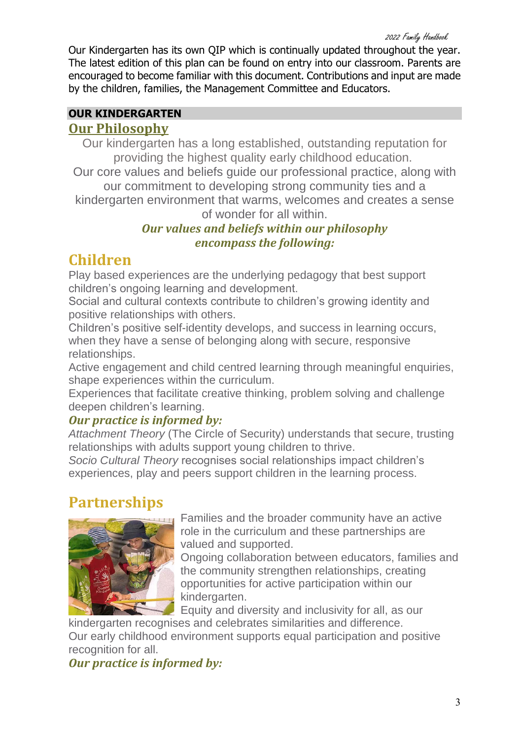Our Kindergarten has its own QIP which is continually updated throughout the year. The latest edition of this plan can be found on entry into our classroom. Parents are encouraged to become familiar with this document. Contributions and input are made by the children, families, the Management Committee and Educators.

## **OUR KINDERGARTEN**

## **Our Philosophy**

Our kindergarten has a long established, outstanding reputation for providing the highest quality early childhood education.

Our core values and beliefs guide our professional practice, along with our commitment to developing strong community ties and a

kindergarten environment that warms, welcomes and creates a sense of wonder for all within.

## *Our values and beliefs within our philosophy encompass the following:*

# **Children**

Play based experiences are the underlying pedagogy that best support children's ongoing learning and development.

Social and cultural contexts contribute to children's growing identity and positive relationships with others.

Children's positive self-identity develops, and success in learning occurs, when they have a sense of belonging along with secure, responsive relationships.

Active engagement and child centred learning through meaningful enquiries, shape experiences within the curriculum.

Experiences that facilitate creative thinking, problem solving and challenge deepen children's learning.

## *Our practice is informed by:*

*Attachment Theory* (The Circle of Security) understands that secure, trusting relationships with adults support young children to thrive.

*Socio Cultural Theory* recognises social relationships impact children's experiences, play and peers support children in the learning process.

# **Partnerships**



Families and the broader community have an active role in the curriculum and these partnerships are valued and supported.

Ongoing collaboration between educators, families and the community strengthen relationships, creating opportunities for active participation within our kindergarten.

Equity and diversity and inclusivity for all, as our kindergarten recognises and celebrates similarities and difference.

Our early childhood environment supports equal participation and positive recognition for all.

## *Our practice is informed by:*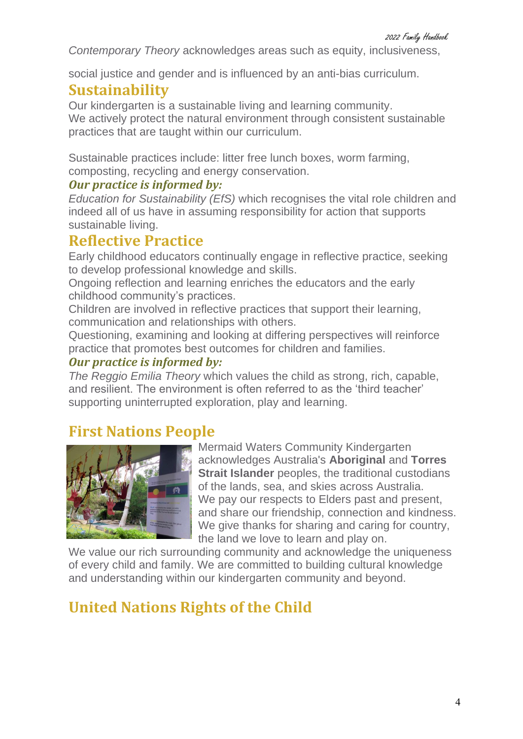*Contemporary Theory* acknowledges areas such as equity, inclusiveness,

social justice and gender and is influenced by an anti-bias curriculum.

## **Sustainability**

Our kindergarten is a sustainable living and learning community. We actively protect the natural environment through consistent sustainable practices that are taught within our curriculum.

Sustainable practices include: litter free lunch boxes, worm farming, composting, recycling and energy conservation.

## *Our practice is informed by:*

*Education for Sustainability (EfS)* which recognises the vital role children and indeed all of us have in assuming responsibility for action that supports sustainable living.

# **Reflective Practice**

Early childhood educators continually engage in reflective practice, seeking to develop professional knowledge and skills.

Ongoing reflection and learning enriches the educators and the early childhood community's practices.

Children are involved in reflective practices that support their learning, communication and relationships with others.

Questioning, examining and looking at differing perspectives will reinforce practice that promotes best outcomes for children and families.

## *Our practice is informed by:*

*The Reggio Emilia Theory* which values the child as strong, rich, capable, and resilient. The environment is often referred to as the 'third teacher' supporting uninterrupted exploration, play and learning.

# **First Nations People**



Mermaid Waters Community Kindergarten acknowledges Australia's **Aboriginal** and **Torres Strait Islander** peoples, the traditional custodians of the lands, sea, and skies across Australia. We pay our respects to Elders past and present, and share our friendship, connection and kindness. We give thanks for sharing and caring for country, the land we love to learn and play on.

We value our rich surrounding community and acknowledge the uniqueness of every child and family. We are committed to building cultural knowledge and understanding within our kindergarten community and beyond.

# **United Nations Rights of the Child**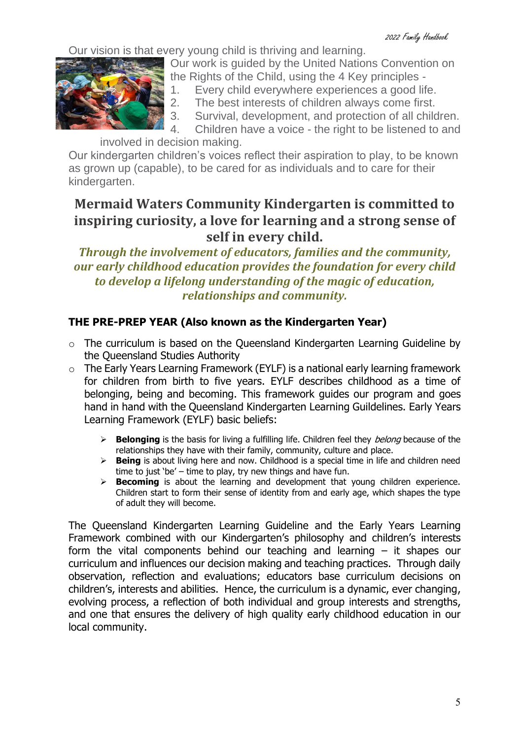Our vision is that every young child is thriving and learning.



Our work is guided by the United Nations Convention on the Rights of the Child, using the 4 Key principles -

1. Every child everywhere experiences a good life.

2. The best interests of children always come first.

3. Survival, development, and protection of all children.

4. Children have a voice - the right to be listened to and

involved in decision making.

Our kindergarten children's voices reflect their aspiration to play, to be known as grown up (capable), to be cared for as individuals and to care for their kindergarten.

## **Mermaid Waters Community Kindergarten is committed to inspiring curiosity, a love for learning and a strong sense of self in every child.**

*Through the involvement of educators, families and the community, our early childhood education provides the foundation for every child to develop a lifelong understanding of the magic of education, relationships and community.*

## **THE PRE-PREP YEAR (Also known as the Kindergarten Year)**

- o The curriculum is based on the Queensland Kindergarten Learning Guideline by the Queensland Studies Authority
- o The Early Years Learning Framework (EYLF) is a national early learning framework for children from birth to five years. EYLF describes childhood as a time of belonging, being and becoming. This framework guides our program and goes hand in hand with the Queensland Kindergarten Learning Guildelines. Early Years Learning Framework (EYLF) basic beliefs:
	- ➢ **Belonging** is the basis for living a fulfilling life. Children feel they belong because of the relationships they have with their family, community, culture and place.
	- ➢ **Being** is about living here and now. Childhood is a special time in life and children need time to just 'be' – time to play, try new things and have fun.
	- ➢ **Becoming** is about the learning and development that young children experience. Children start to form their sense of identity from and early age, which shapes the type of adult they will become.

The Queensland Kindergarten Learning Guideline and the Early Years Learning Framework combined with our Kindergarten's philosophy and children's interests form the vital components behind our teaching and learning – it shapes our curriculum and influences our decision making and teaching practices. Through daily observation, reflection and evaluations; educators base curriculum decisions on children's, interests and abilities. Hence, the curriculum is a dynamic, ever changing, evolving process, a reflection of both individual and group interests and strengths, and one that ensures the delivery of high quality early childhood education in our local community.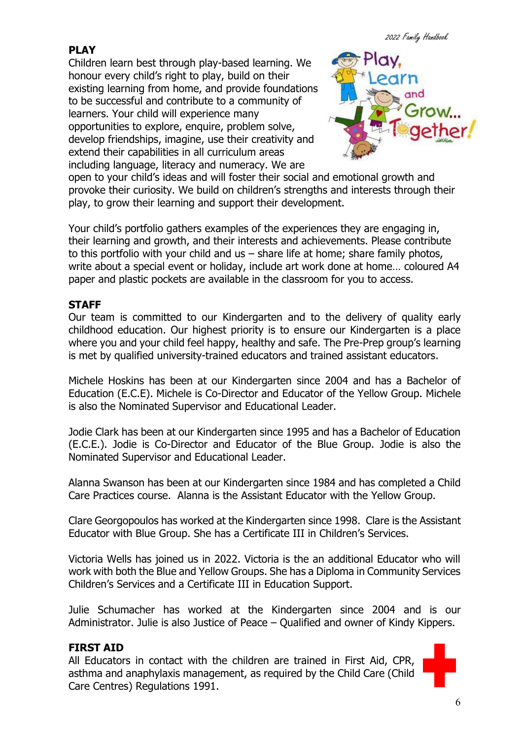2022 Family Handbook

## **PLAY**

Children learn best through play-based learning. We honour every child's right to play, build on their existing learning from home, and provide foundations to be successful and contribute to a community of learners. Your child will experience many opportunities to explore, enquire, problem solve, develop friendships, imagine, use their creativity and extend their capabilities in all curriculum areas including language, literacy and numeracy. We are



open to your child's ideas and will foster their social and emotional growth and provoke their curiosity. We build on children's strengths and interests through their play, to grow their learning and support their development.

Your child's portfolio gathers examples of the experiences they are engaging in, their learning and growth, and their interests and achievements. Please contribute to this portfolio with your child and us  $-$  share life at home; share family photos, write about a special event or holiday, include art work done at home… coloured A4 paper and plastic pockets are available in the classroom for you to access.

## **STAFF**

Our team is committed to our Kindergarten and to the delivery of quality early childhood education. Our highest priority is to ensure our Kindergarten is a place where you and your child feel happy, healthy and safe. The Pre-Prep group's learning is met by qualified university-trained educators and trained assistant educators.

Michele Hoskins has been at our Kindergarten since 2004 and has a Bachelor of Education (E.C.E). Michele is Co-Director and Educator of the Yellow Group. Michele is also the Nominated Supervisor and Educational Leader.

Jodie Clark has been at our Kindergarten since 1995 and has a Bachelor of Education (E.C.E.). Jodie is Co-Director and Educator of the Blue Group. Jodie is also the Nominated Supervisor and Educational Leader.

Alanna Swanson has been at our Kindergarten since 1984 and has completed a Child Care Practices course. Alanna is the Assistant Educator with the Yellow Group.

Clare Georgopoulos has worked at the Kindergarten since 1998. Clare is the Assistant Educator with Blue Group. She has a Certificate III in Children's Services.

Victoria Wells has joined us in 2022. Victoria is the an additional Educator who will work with both the Blue and Yellow Groups. She has a Diploma in Community Services Children's Services and a Certificate III in Education Support.

Julie Schumacher has worked at the Kindergarten since 2004 and is our Administrator. Julie is also Justice of Peace – Qualified and owner of Kindy Kippers.

## **FIRST AID**

All Educators in contact with the children are trained in First Aid, CPR, asthma and anaphylaxis management, as required by the Child Care (Child Care Centres) Regulations 1991.

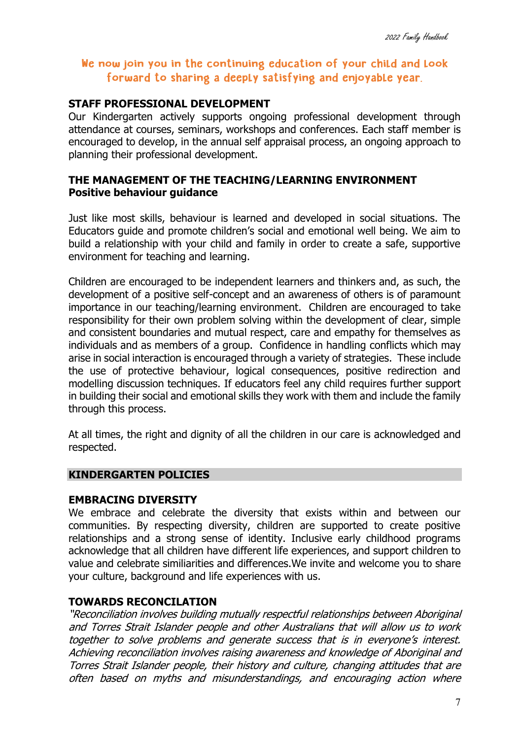### We now join you in the continuing education of your child and Look forward to sharing a deeply satisfying and enjoyable year.

#### **STAFF PROFESSIONAL DEVELOPMENT**

Our Kindergarten actively supports ongoing professional development through attendance at courses, seminars, workshops and conferences. Each staff member is encouraged to develop, in the annual self appraisal process, an ongoing approach to planning their professional development.

### **THE MANAGEMENT OF THE TEACHING/LEARNING ENVIRONMENT Positive behaviour guidance**

Just like most skills, behaviour is learned and developed in social situations. The Educators guide and promote children's social and emotional well being. We aim to build a relationship with your child and family in order to create a safe, supportive environment for teaching and learning.

Children are encouraged to be independent learners and thinkers and, as such, the development of a positive self-concept and an awareness of others is of paramount importance in our teaching/learning environment. Children are encouraged to take responsibility for their own problem solving within the development of clear, simple and consistent boundaries and mutual respect, care and empathy for themselves as individuals and as members of a group. Confidence in handling conflicts which may arise in social interaction is encouraged through a variety of strategies. These include the use of protective behaviour, logical consequences, positive redirection and modelling discussion techniques. If educators feel any child requires further support in building their social and emotional skills they work with them and include the family through this process.

At all times, the right and dignity of all the children in our care is acknowledged and respected.

#### **KINDERGARTEN POLICIES**

#### **EMBRACING DIVERSITY**

We embrace and celebrate the diversity that exists within and between our communities. By respecting diversity, children are supported to create positive relationships and a strong sense of identity. Inclusive early childhood programs acknowledge that all children have different life experiences, and support children to value and celebrate similiarities and differences.We invite and welcome you to share your culture, background and life experiences with us.

#### **TOWARDS RECONCILATION**

"Reconciliation involves building mutually respectful relationships between Aboriginal and Torres Strait Islander people and other Australians that will allow us to work together to solve problems and generate success that is in everyone's interest. Achieving reconciliation involves raising awareness and knowledge of Aboriginal and Torres Strait Islander people, their history and culture, changing attitudes that are often based on myths and misunderstandings, and encouraging action where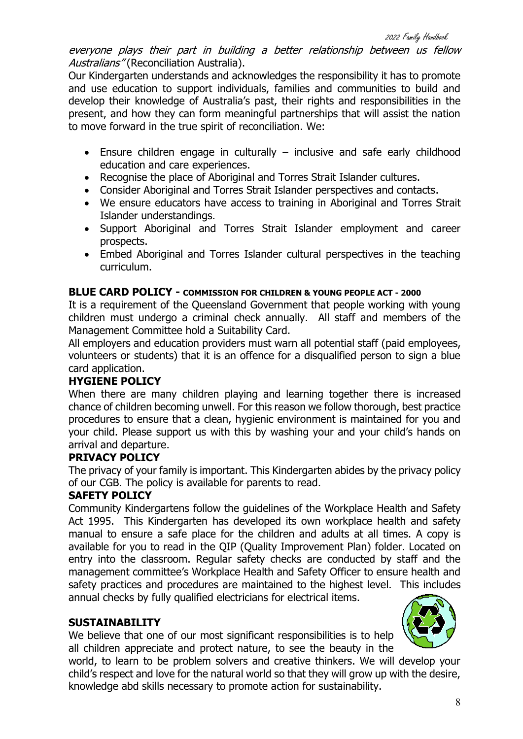everyone plays their part in building a better relationship between us fellow Australians" (Reconciliation Australia).

Our Kindergarten understands and acknowledges the responsibility it has to promote and use education to support individuals, families and communities to build and develop their knowledge of Australia's past, their rights and responsibilities in the present, and how they can form meaningful partnerships that will assist the nation to move forward in the true spirit of reconciliation. We:

- Ensure children engage in culturally inclusive and safe early childhood education and care experiences.
- Recognise the place of Aboriginal and Torres Strait Islander cultures.
- Consider Aboriginal and Torres Strait Islander perspectives and contacts.
- We ensure educators have access to training in Aboriginal and Torres Strait Islander understandings.
- Support Aboriginal and Torres Strait Islander employment and career prospects.
- Embed Aboriginal and Torres Islander cultural perspectives in the teaching curriculum.

### **BLUE CARD POLICY - COMMISSION FOR CHILDREN & YOUNG PEOPLE ACT - 2000**

It is a requirement of the Queensland Government that people working with young children must undergo a criminal check annually. All staff and members of the Management Committee hold a Suitability Card.

All employers and education providers must warn all potential staff (paid employees, volunteers or students) that it is an offence for a disqualified person to sign a blue card application.

## **HYGIENE POLICY**

When there are many children playing and learning together there is increased chance of children becoming unwell. For this reason we follow thorough, best practice procedures to ensure that a clean, hygienic environment is maintained for you and your child. Please support us with this by washing your and your child's hands on arrival and departure.

#### **PRIVACY POLICY**

The privacy of your family is important. This Kindergarten abides by the privacy policy of our CGB. The policy is available for parents to read.

## **SAFETY POLICY**

Community Kindergartens follow the guidelines of the Workplace Health and Safety Act 1995. This Kindergarten has developed its own workplace health and safety manual to ensure a safe place for the children and adults at all times. A copy is available for you to read in the QIP (Quality Improvement Plan) folder. Located on entry into the classroom. Regular safety checks are conducted by staff and the management committee's Workplace Health and Safety Officer to ensure health and safety practices and procedures are maintained to the highest level. This includes annual checks by fully qualified electricians for electrical items.

#### **SUSTAINABILITY**

We believe that one of our most significant responsibilities is to help all children appreciate and protect nature, to see the beauty in the



world, to learn to be problem solvers and creative thinkers. We will develop your child's respect and love for the natural world so that they will grow up with the desire, knowledge abd skills necessary to promote action for sustainability.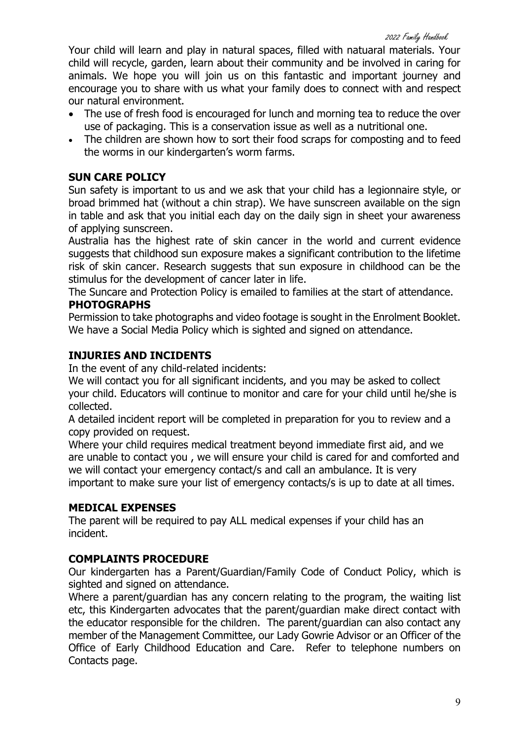Your child will learn and play in natural spaces, filled with natuaral materials. Your child will recycle, garden, learn about their community and be involved in caring for animals. We hope you will join us on this fantastic and important journey and encourage you to share with us what your family does to connect with and respect our natural environment.

- The use of fresh food is encouraged for lunch and morning tea to reduce the over use of packaging. This is a conservation issue as well as a nutritional one.
- The children are shown how to sort their food scraps for composting and to feed the worms in our kindergarten's worm farms.

### **SUN CARE POLICY**

Sun safety is important to us and we ask that your child has a legionnaire style, or broad brimmed hat (without a chin strap). We have sunscreen available on the sign in table and ask that you initial each day on the daily sign in sheet your awareness of applying sunscreen.

Australia has the highest rate of skin cancer in the world and current evidence suggests that childhood sun exposure makes a significant contribution to the lifetime risk of skin cancer. Research suggests that sun exposure in childhood can be the stimulus for the development of cancer later in life.

The Suncare and Protection Policy is emailed to families at the start of attendance.

#### **PHOTOGRAPHS**

Permission to take photographs and video footage is sought in the Enrolment Booklet. We have a Social Media Policy which is sighted and signed on attendance.

#### **INJURIES AND INCIDENTS**

In the event of any child-related incidents:

We will contact you for all significant incidents, and you may be asked to collect your child. Educators will continue to monitor and care for your child until he/she is collected.

A detailed incident report will be completed in preparation for you to review and a copy provided on request.

Where your child requires medical treatment beyond immediate first aid, and we are unable to contact you , we will ensure your child is cared for and comforted and we will contact your emergency contact/s and call an ambulance. It is very important to make sure your list of emergency contacts/s is up to date at all times.

#### **MEDICAL EXPENSES**

The parent will be required to pay ALL medical expenses if your child has an incident.

#### **COMPLAINTS PROCEDURE**

Our kindergarten has a Parent/Guardian/Family Code of Conduct Policy, which is sighted and signed on attendance.

Where a parent/guardian has any concern relating to the program, the waiting list etc, this Kindergarten advocates that the parent/guardian make direct contact with the educator responsible for the children. The parent/guardian can also contact any member of the Management Committee, our Lady Gowrie Advisor or an Officer of the Office of Early Childhood Education and Care. Refer to telephone numbers on Contacts page.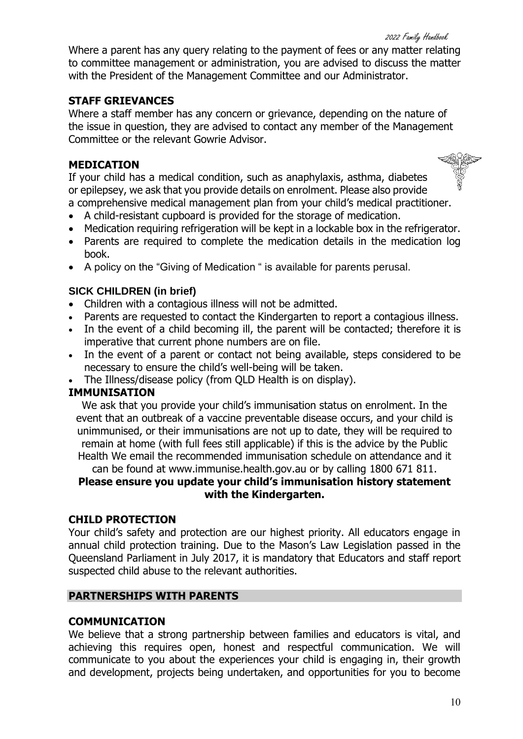Where a parent has any query relating to the payment of fees or any matter relating to committee management or administration, you are advised to discuss the matter with the President of the Management Committee and our Administrator.

#### **STAFF GRIEVANCES**

Where a staff member has any concern or grievance, depending on the nature of the issue in question, they are advised to contact any member of the Management Committee or the relevant Gowrie Advisor.

#### **MEDICATION**

If your child has a medical condition, such as anaphylaxis, asthma, diabetes or epilepsey, we ask that you provide details on enrolment. Please also provide a comprehensive medical management plan from your child's medical practitioner.

- A child-resistant cupboard is provided for the storage of medication.
- Medication requiring refrigeration will be kept in a lockable box in the refrigerator.
- Parents are required to complete the medication details in the medication log book.
- A policy on the "Giving of Medication " is available for parents perusal.

### **SICK CHILDREN (in brief)**

- Children with a contagious illness will not be admitted.
- Parents are requested to contact the Kindergarten to report a contagious illness.
- In the event of a child becoming ill, the parent will be contacted; therefore it is imperative that current phone numbers are on file.
- In the event of a parent or contact not being available, steps considered to be necessary to ensure the child's well-being will be taken.
- The Illness/disease policy (from QLD Health is on display).

#### **IMMUNISATION**

We ask that you provide your child's immunisation status on enrolment. In the event that an outbreak of a vaccine preventable disease occurs, and your child is unimmunised, or their immunisations are not up to date, they will be required to remain at home (with full fees still applicable) if this is the advice by the Public Health We email the recommended immunisation schedule on attendance and it can be found at www.immunise.health.gov.au or by calling 1800 671 811.

#### **Please ensure you update your child's immunisation history statement with the Kindergarten.**

#### **CHILD PROTECTION**

Your child's safety and protection are our highest priority. All educators engage in annual child protection training. Due to the Mason's Law Legislation passed in the Queensland Parliament in July 2017, it is mandatory that Educators and staff report suspected child abuse to the relevant authorities.

#### **PARTNERSHIPS WITH PARENTS**

#### **COMMUNICATION**

We believe that a strong partnership between families and educators is vital, and achieving this requires open, honest and respectful communication. We will communicate to you about the experiences your child is engaging in, their growth and development, projects being undertaken, and opportunities for you to become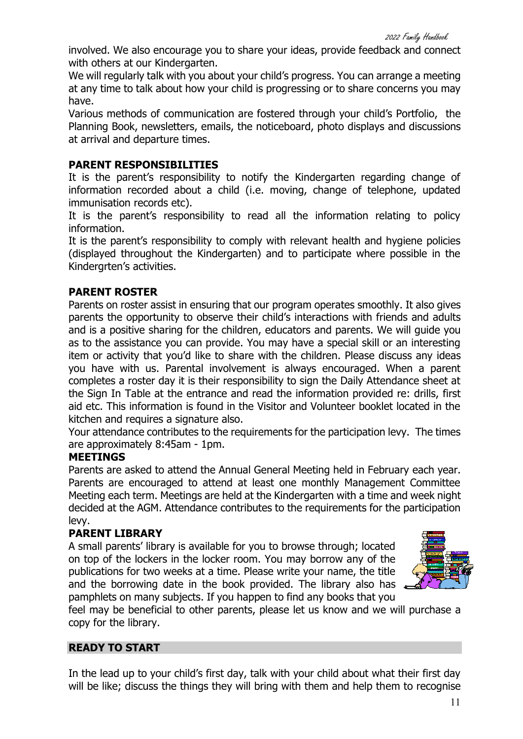involved. We also encourage you to share your ideas, provide feedback and connect with others at our Kindergarten.

We will regularly talk with you about your child's progress. You can arrange a meeting at any time to talk about how your child is progressing or to share concerns you may have.

Various methods of communication are fostered through your child's Portfolio, the Planning Book, newsletters, emails, the noticeboard, photo displays and discussions at arrival and departure times.

#### **PARENT RESPONSIBILITIES**

It is the parent's responsibility to notify the Kindergarten regarding change of information recorded about a child (i.e. moving, change of telephone, updated immunisation records etc).

It is the parent's responsibility to read all the information relating to policy information.

It is the parent's responsibility to comply with relevant health and hygiene policies (displayed throughout the Kindergarten) and to participate where possible in the Kindergrten's activities.

#### **PARENT ROSTER**

Parents on roster assist in ensuring that our program operates smoothly. It also gives parents the opportunity to observe their child's interactions with friends and adults and is a positive sharing for the children, educators and parents. We will guide you as to the assistance you can provide. You may have a special skill or an interesting item or activity that you'd like to share with the children. Please discuss any ideas you have with us. Parental involvement is always encouraged. When a parent completes a roster day it is their responsibility to sign the Daily Attendance sheet at the Sign In Table at the entrance and read the information provided re: drills, first aid etc. This information is found in the Visitor and Volunteer booklet located in the kitchen and requires a signature also.

Your attendance contributes to the requirements for the participation levy. The times are approximately 8:45am - 1pm.

#### **MEETINGS**

Parents are asked to attend the Annual General Meeting held in February each year. Parents are encouraged to attend at least one monthly Management Committee Meeting each term. Meetings are held at the Kindergarten with a time and week night decided at the AGM. Attendance contributes to the requirements for the participation levy.

#### **PARENT LIBRARY**

A small parents' library is available for you to browse through; located on top of the lockers in the locker room. You may borrow any of the publications for two weeks at a time. Please write your name, the title and the borrowing date in the book provided. The library also has pamphlets on many subjects. If you happen to find any books that you



feel may be beneficial to other parents, please let us know and we will purchase a copy for the library.

#### **READY TO START**

In the lead up to your child's first day, talk with your child about what their first day will be like; discuss the things they will bring with them and help them to recognise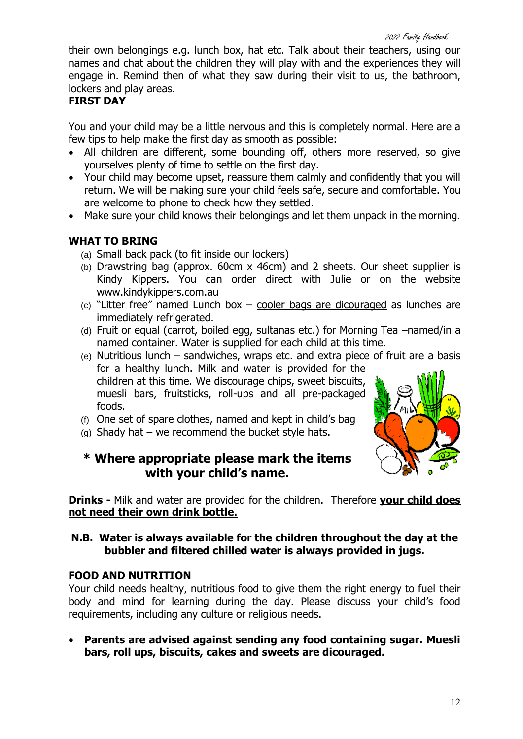their own belongings e.g. lunch box, hat etc. Talk about their teachers, using our names and chat about the children they will play with and the experiences they will engage in. Remind then of what they saw during their visit to us, the bathroom, lockers and play areas.

## **FIRST DAY**

You and your child may be a little nervous and this is completely normal. Here are a few tips to help make the first day as smooth as possible:

- All children are different, some bounding off, others more reserved, so give yourselves plenty of time to settle on the first day.
- Your child may become upset, reassure them calmly and confidently that you will return. We will be making sure your child feels safe, secure and comfortable. You are welcome to phone to check how they settled.
- Make sure your child knows their belongings and let them unpack in the morning.

## **WHAT TO BRING**

- (a) Small back pack (to fit inside our lockers)
- (b) Drawstring bag (approx. 60cm x 46cm) and 2 sheets. Our sheet supplier is Kindy Kippers. You can order direct with Julie or on the website www.kindykippers.com.au
- (c) "Litter free" named Lunch box cooler bags are dicouraged as lunches are immediately refrigerated.
- (d) Fruit or equal (carrot, boiled egg, sultanas etc.) for Morning Tea –named/in a named container. Water is supplied for each child at this time.
- (e) Nutritious lunch sandwiches, wraps etc. and extra piece of fruit are a basis for a healthy lunch. Milk and water is provided for the children at this time. We discourage chips, sweet biscuits, muesli bars, fruitsticks, roll-ups and all pre-packaged foods.
- (f) One set of spare clothes, named and kept in child's bag
- (g) Shady hat we recommend the bucket style hats.

## **\* Where appropriate please mark the items with your child's name.**



**Drinks -** Milk and water are provided for the children. Therefore **your child does not need their own drink bottle.**

## **N.B. Water is always available for the children throughout the day at the bubbler and filtered chilled water is always provided in jugs.**

## **FOOD AND NUTRITION**

Your child needs healthy, nutritious food to give them the right energy to fuel their body and mind for learning during the day. Please discuss your child's food requirements, including any culture or religious needs.

• **Parents are advised against sending any food containing sugar. Muesli bars, roll ups, biscuits, cakes and sweets are dicouraged.**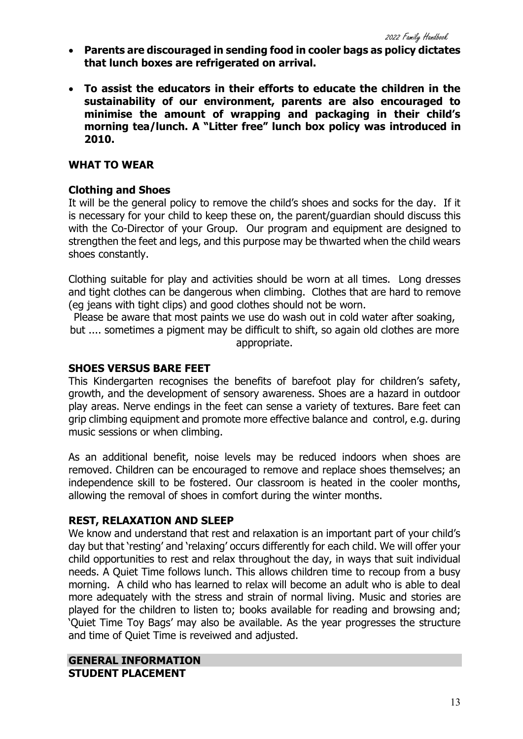- **Parents are discouraged in sending food in cooler bags as policy dictates that lunch boxes are refrigerated on arrival.**
- **To assist the educators in their efforts to educate the children in the sustainability of our environment, parents are also encouraged to minimise the amount of wrapping and packaging in their child's morning tea/lunch. A "Litter free" lunch box policy was introduced in 2010.**

#### **WHAT TO WEAR**

#### **Clothing and Shoes**

It will be the general policy to remove the child's shoes and socks for the day. If it is necessary for your child to keep these on, the parent/guardian should discuss this with the Co-Director of your Group. Our program and equipment are designed to strengthen the feet and legs, and this purpose may be thwarted when the child wears shoes constantly.

Clothing suitable for play and activities should be worn at all times. Long dresses and tight clothes can be dangerous when climbing. Clothes that are hard to remove (eg jeans with tight clips) and good clothes should not be worn.

Please be aware that most paints we use do wash out in cold water after soaking, but .... sometimes a pigment may be difficult to shift, so again old clothes are more appropriate.

#### **SHOES VERSUS BARE FEET**

This Kindergarten recognises the benefits of barefoot play for children's safety, growth, and the development of sensory awareness. Shoes are a hazard in outdoor play areas. Nerve endings in the feet can sense a variety of textures. Bare feet can grip climbing equipment and promote more effective balance and control, e.g. during music sessions or when climbing.

As an additional benefit, noise levels may be reduced indoors when shoes are removed. Children can be encouraged to remove and replace shoes themselves; an independence skill to be fostered. Our classroom is heated in the cooler months, allowing the removal of shoes in comfort during the winter months.

#### **REST, RELAXATION AND SLEEP**

We know and understand that rest and relaxation is an important part of your child's day but that 'resting' and 'relaxing' occurs differently for each child. We will offer your child opportunities to rest and relax throughout the day, in ways that suit individual needs. A Quiet Time follows lunch. This allows children time to recoup from a busy morning. A child who has learned to relax will become an adult who is able to deal more adequately with the stress and strain of normal living. Music and stories are played for the children to listen to; books available for reading and browsing and; 'Quiet Time Toy Bags' may also be available. As the year progresses the structure and time of Quiet Time is reveiwed and adjusted.

#### **GENERAL INFORMATION STUDENT PLACEMENT**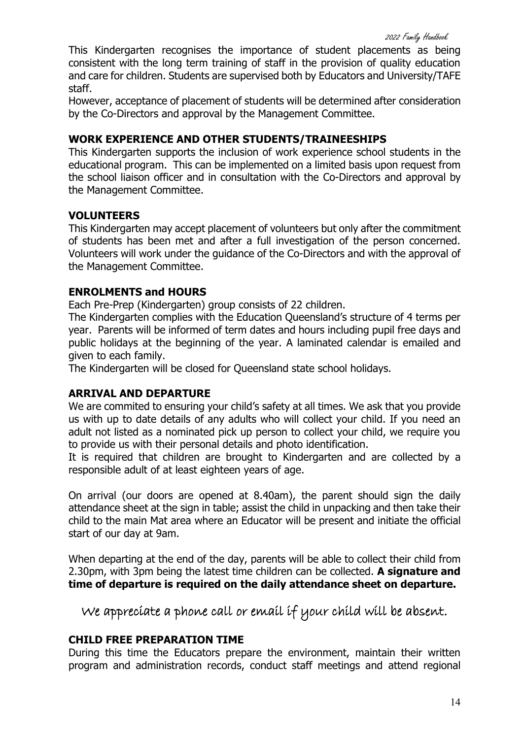This Kindergarten recognises the importance of student placements as being consistent with the long term training of staff in the provision of quality education and care for children. Students are supervised both by Educators and University/TAFE staff.

However, acceptance of placement of students will be determined after consideration by the Co-Directors and approval by the Management Committee.

#### **WORK EXPERIENCE AND OTHER STUDENTS/TRAINEESHIPS**

This Kindergarten supports the inclusion of work experience school students in the educational program. This can be implemented on a limited basis upon request from the school liaison officer and in consultation with the Co-Directors and approval by the Management Committee.

#### **VOLUNTEERS**

This Kindergarten may accept placement of volunteers but only after the commitment of students has been met and after a full investigation of the person concerned. Volunteers will work under the guidance of the Co-Directors and with the approval of the Management Committee.

#### **ENROLMENTS and HOURS**

Each Pre-Prep (Kindergarten) group consists of 22 children.

The Kindergarten complies with the Education Queensland's structure of 4 terms per year. Parents will be informed of term dates and hours including pupil free days and public holidays at the beginning of the year. A laminated calendar is emailed and given to each family.

The Kindergarten will be closed for Queensland state school holidays.

#### **ARRIVAL AND DEPARTURE**

We are commited to ensuring your child's safety at all times. We ask that you provide us with up to date details of any adults who will collect your child. If you need an adult not listed as a nominated pick up person to collect your child, we require you to provide us with their personal details and photo identification.

It is required that children are brought to Kindergarten and are collected by a responsible adult of at least eighteen years of age.

On arrival (our doors are opened at 8.40am), the parent should sign the daily attendance sheet at the sign in table; assist the child in unpacking and then take their child to the main Mat area where an Educator will be present and initiate the official start of our day at 9am.

When departing at the end of the day, parents will be able to collect their child from 2.30pm, with 3pm being the latest time children can be collected. **A signature and time of departure is required on the daily attendance sheet on departure.**

We appreciate a phone call or email if your child will be absent.

#### **CHILD FREE PREPARATION TIME**

During this time the Educators prepare the environment, maintain their written program and administration records, conduct staff meetings and attend regional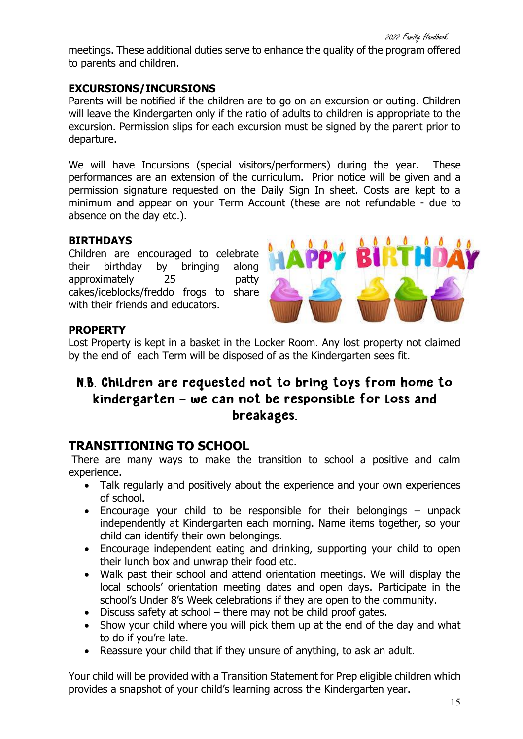meetings. These additional duties serve to enhance the quality of the program offered to parents and children.

### **EXCURSIONS/INCURSIONS**

Parents will be notified if the children are to go on an excursion or outing. Children will leave the Kindergarten only if the ratio of adults to children is appropriate to the excursion. Permission slips for each excursion must be signed by the parent prior to departure.

We will have Incursions (special visitors/performers) during the year. These performances are an extension of the curriculum. Prior notice will be given and a permission signature requested on the Daily Sign In sheet. Costs are kept to a minimum and appear on your Term Account (these are not refundable - due to absence on the day etc.).

#### **BIRTHDAYS**

Children are encouraged to celebrate their birthday by bringing along approximately 25 patty cakes/iceblocks/freddo frogs to share with their friends and educators.



## **PROPERTY**

Lost Property is kept in a basket in the Locker Room. Any lost property not claimed by the end of each Term will be disposed of as the Kindergarten sees fit.

## N.B. Children are requested not to bring toys from home to kindergarten – we can not be responsible for loss and breakages.

## **TRANSITIONING TO SCHOOL**

There are many ways to make the transition to school a positive and calm experience.

- Talk regularly and positively about the experience and your own experiences of school.
- Encourage your child to be responsible for their belongings unpack independently at Kindergarten each morning. Name items together, so your child can identify their own belongings.
- Encourage independent eating and drinking, supporting your child to open their lunch box and unwrap their food etc.
- Walk past their school and attend orientation meetings. We will display the local schools' orientation meeting dates and open days. Participate in the school's Under 8's Week celebrations if they are open to the community.
- Discuss safety at school there may not be child proof gates.
- Show your child where you will pick them up at the end of the day and what to do if you're late.
- Reassure your child that if they unsure of anything, to ask an adult.

Your child will be provided with a Transition Statement for Prep eligible children which provides a snapshot of your child's learning across the Kindergarten year.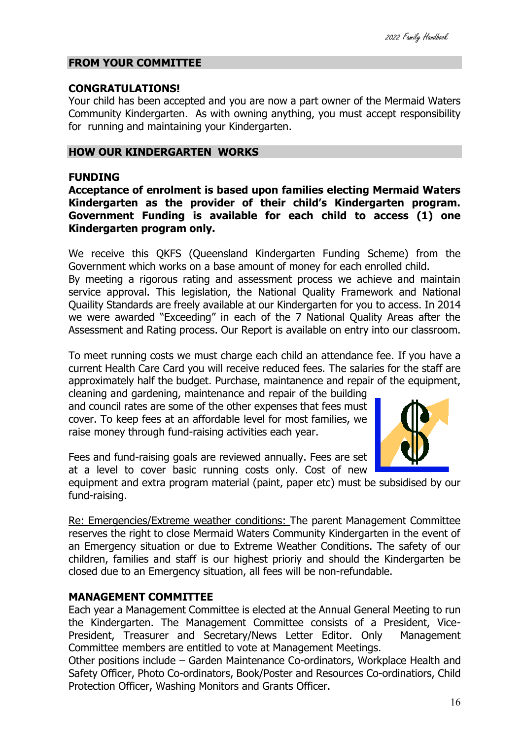#### **FROM YOUR COMMITTEE**

#### **CONGRATULATIONS!**

Your child has been accepted and you are now a part owner of the Mermaid Waters Community Kindergarten. As with owning anything, you must accept responsibility for running and maintaining your Kindergarten.

#### **HOW OUR KINDERGARTEN WORKS**

#### **FUNDING**

**Acceptance of enrolment is based upon families electing Mermaid Waters Kindergarten as the provider of their child's Kindergarten program. Government Funding is available for each child to access (1) one Kindergarten program only.** 

We receive this QKFS (Queensland Kindergarten Funding Scheme) from the Government which works on a base amount of money for each enrolled child.

By meeting a rigorous rating and assessment process we achieve and maintain service approval. This legislation, the National Quality Framework and National Quaility Standards are freely available at our Kindergarten for you to access. In 2014 we were awarded "Exceeding" in each of the 7 National Quality Areas after the Assessment and Rating process. Our Report is available on entry into our classroom.

To meet running costs we must charge each child an attendance fee. If you have a current Health Care Card you will receive reduced fees. The salaries for the staff are approximately half the budget. Purchase, maintanence and repair of the equipment,

cleaning and gardening, maintenance and repair of the building and council rates are some of the other expenses that fees must cover. To keep fees at an affordable level for most families, we raise money through fund-raising activities each year.

Fees and fund-raising goals are reviewed annually. Fees are set at a level to cover basic running costs only. Cost of new

equipment and extra program material (paint, paper etc) must be subsidised by our fund-raising.

Re: Emergencies/Extreme weather conditions: The parent Management Committee reserves the right to close Mermaid Waters Community Kindergarten in the event of an Emergency situation or due to Extreme Weather Conditions. The safety of our children, families and staff is our highest prioriy and should the Kindergarten be closed due to an Emergency situation, all fees will be non-refundable.

#### **MANAGEMENT COMMITTEE**

Each year a Management Committee is elected at the Annual General Meeting to run the Kindergarten. The Management Committee consists of a President, Vice-President, Treasurer and Secretary/News Letter Editor. Only Management Committee members are entitled to vote at Management Meetings.

Other positions include – Garden Maintenance Co-ordinators, Workplace Health and Safety Officer, Photo Co-ordinators, Book/Poster and Resources Co-ordinatiors, Child Protection Officer, Washing Monitors and Grants Officer.

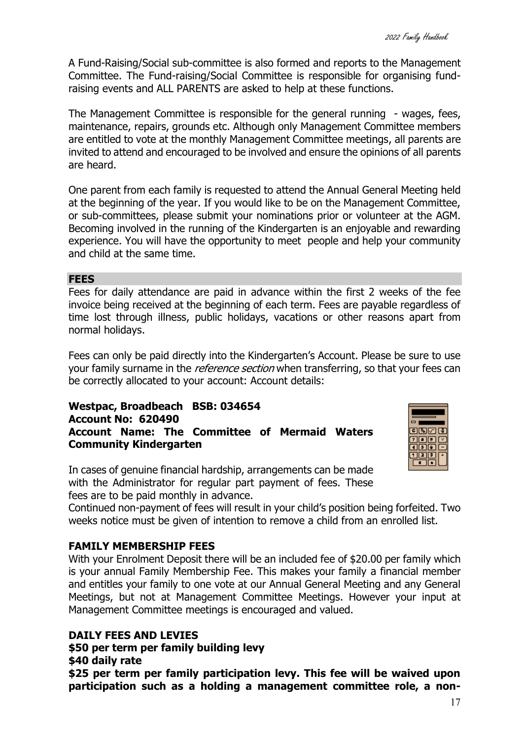A Fund-Raising/Social sub-committee is also formed and reports to the Management Committee. The Fund-raising/Social Committee is responsible for organising fundraising events and ALL PARENTS are asked to help at these functions.

The Management Committee is responsible for the general running - wages, fees, maintenance, repairs, grounds etc. Although only Management Committee members are entitled to vote at the monthly Management Committee meetings, all parents are invited to attend and encouraged to be involved and ensure the opinions of all parents are heard.

One parent from each family is requested to attend the Annual General Meeting held at the beginning of the year. If you would like to be on the Management Committee, or sub-committees, please submit your nominations prior or volunteer at the AGM. Becoming involved in the running of the Kindergarten is an enjoyable and rewarding experience. You will have the opportunity to meet people and help your community and child at the same time.

#### **FEES**

Fees for daily attendance are paid in advance within the first 2 weeks of the fee invoice being received at the beginning of each term. Fees are payable regardless of time lost through illness, public holidays, vacations or other reasons apart from normal holidays.

Fees can only be paid directly into the Kindergarten's Account. Please be sure to use your family surname in the *reference section* when transferring, so that your fees can be correctly allocated to your account: Account details:

#### **Westpac, Broadbeach BSB: 034654 Account No: 620490 Account Name: The Committee of Mermaid Waters Community Kindergarten**



In cases of genuine financial hardship, arrangements can be made with the Administrator for regular part payment of fees. These fees are to be paid monthly in advance.

Continued non-payment of fees will result in your child's position being forfeited. Two weeks notice must be given of intention to remove a child from an enrolled list.

#### **FAMILY MEMBERSHIP FEES**

With your Enrolment Deposit there will be an included fee of \$20.00 per family which is your annual Family Membership Fee. This makes your family a financial member and entitles your family to one vote at our Annual General Meeting and any General Meetings, but not at Management Committee Meetings. However your input at Management Committee meetings is encouraged and valued.

#### **DAILY FEES AND LEVIES**

**\$50 per term per family building levy**

#### **\$40 daily rate**

**\$25 per term per family participation levy. This fee will be waived upon participation such as a holding a management committee role, a non-**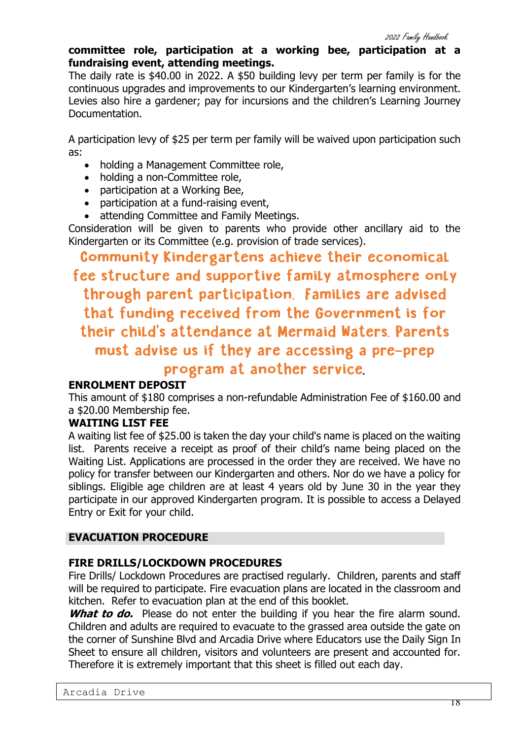#### **committee role, participation at a working bee, participation at a fundraising event, attending meetings.**

The daily rate is \$40.00 in 2022. A \$50 building levy per term per family is for the continuous upgrades and improvements to our Kindergarten's learning environment. Levies also hire a gardener; pay for incursions and the children's Learning Journey Documentation.

A participation levy of \$25 per term per family will be waived upon participation such as:

- holding a Management Committee role,
- holding a non-Committee role,
- participation at a Working Bee,
- participation at a fund-raising event,
- attending Committee and Family Meetings.

Consideration will be given to parents who provide other ancillary aid to the Kindergarten or its Committee (e.g. provision of trade services).

Community Kindergartens achieve their economical fee structure and supportive family atmosphere only through parent participation. Families are advised that funding received from the Government is for their child's attendance at Mermaid Waters Parents must advise us if they are accessing a pre-prep program at another service.

#### **ENROLMENT DEPOSIT**

This amount of \$180 comprises a non-refundable Administration Fee of \$160.00 and a \$20.00 Membership fee.

#### **WAITING LIST FEE**

A waiting list fee of \$25.00 is taken the day your child's name is placed on the waiting list. Parents receive a receipt as proof of their child's name being placed on the Waiting List. Applications are processed in the order they are received. We have no policy for transfer between our Kindergarten and others. Nor do we have a policy for siblings. Eligible age children are at least 4 years old by June 30 in the year they participate in our approved Kindergarten program. It is possible to access a Delayed Entry or Exit for your child.

#### **EVACUATION PROCEDURE**

#### **FIRE DRILLS/LOCKDOWN PROCEDURES**

Fire Drills/ Lockdown Procedures are practised regularly. Children, parents and staff will be required to participate. Fire evacuation plans are located in the classroom and kitchen. Refer to evacuation plan at the end of this booklet.

What to do. Please do not enter the building if you hear the fire alarm sound. Children and adults are required to evacuate to the grassed area outside the gate on the corner of Sunshine Blvd and Arcadia Drive where Educators use the Daily Sign In Sheet to ensure all children, visitors and volunteers are present and accounted for. Therefore it is extremely important that this sheet is filled out each day.